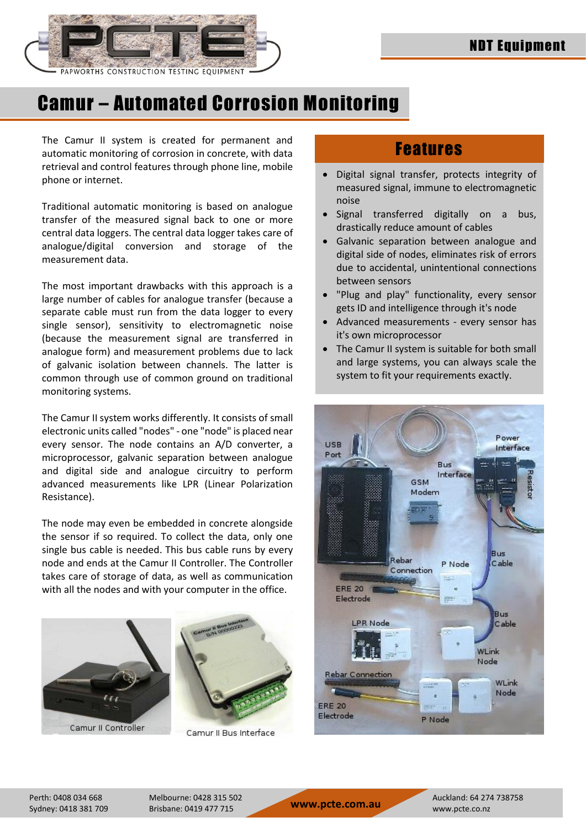

System

# Camur – Automated Corrosion Monitoring

The Camur II system is created for permanent and automatic monitoring of corrosion in concrete, with data retrieval and control features through phone line, mobile phone or internet.

Traditional automatic monitoring is based on analogue transfer of the measured signal back to one or more central data loggers. The central data logger takes care of analogue/digital conversion and storage of the measurement data.

The most important drawbacks with this approach is a large number of cables for analogue transfer (because a separate cable must run from the data logger to every single sensor), sensitivity to electromagnetic noise (because the measurement signal are transferred in analogue form) and measurement problems due to lack of galvanic isolation between channels. The latter is common through use of common ground on traditional monitoring systems.

The Camur II system works differently. It consists of small electronic units called "nodes" - one "node" is placed near every sensor. The node contains an A/D converter, a microprocessor, galvanic separation between analogue and digital side and analogue circuitry to perform advanced measurements like LPR (Linear Polarization Resistance).

The node may even be embedded in concrete alongside the sensor if so required. To collect the data, only one single bus cable is needed. This bus cable runs by every node and ends at the Camur II Controller. The Controller takes care of storage of data, as well as communication with all the nodes and with your computer in the office.





Camur II Bus Interface

### Features

- Digital signal transfer, protects integrity of measured signal, immune to electromagnetic noise
- Signal transferred digitally on a bus, drastically reduce amount of cables
- Galvanic separation between analogue and digital side of nodes, eliminates risk of errors due to accidental, unintentional connections between sensors
- "Plug and play" functionality, every sensor gets ID and intelligence through it's node
- Advanced measurements every sensor has it's own microprocessor
- The Camur II system is suitable for both small and large systems, you can always scale the system to fit your requirements exactly.



Sydney: 0418 381 709 Brisbane: 0419 477 715 **www.pcte.com.au** www.pcte.co.nz

Perth: 0408 034 668 Melbourne: 0428 315 502 Auckland: 64 274 738758